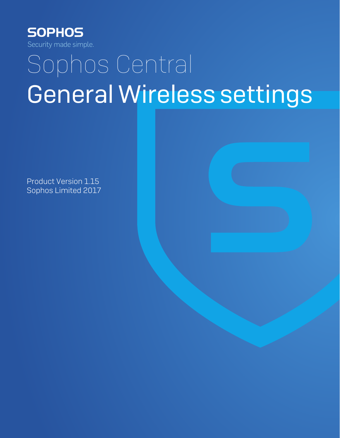

# Sophos Central General Wireless settings

Product Version 1.15 Sophos Limited 2017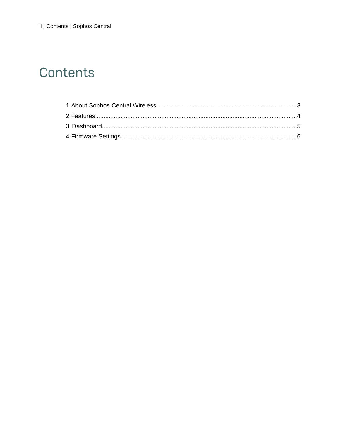## Contents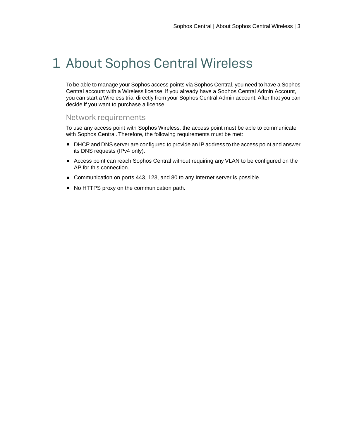### <span id="page-2-0"></span>1 About Sophos Central Wireless

To be able to manage your Sophos access points via Sophos Central, you need to have a Sophos Central account with a Wireless license. If you already have a Sophos Central Admin Account, you can start a Wireless trial directly from your Sophos Central Admin account. After that you can decide if you want to purchase a license.

#### Network requirements

To use any access point with Sophos Wireless, the access point must be able to communicate with Sophos Central. Therefore, the following requirements must be met:

- DHCP and DNS server are configured to provide an IP address to the access point and answer its DNS requests (IPv4 only).
- Access point can reach Sophos Central without requiring any VLAN to be configured on the AP for this connection.
- Communication on ports 443, 123, and 80 to any Internet server is possible.
- No HTTPS proxy on the communication path.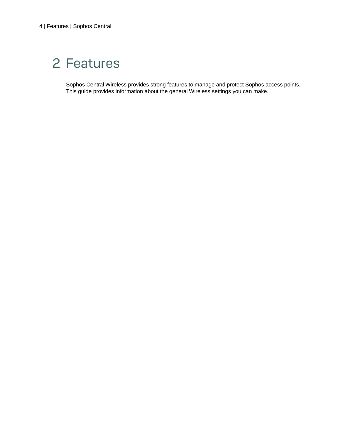# <span id="page-3-0"></span>2 Features

Sophos Central Wireless provides strong features to manage and protect Sophos access points. This guide provides information about the general Wireless settings you can make.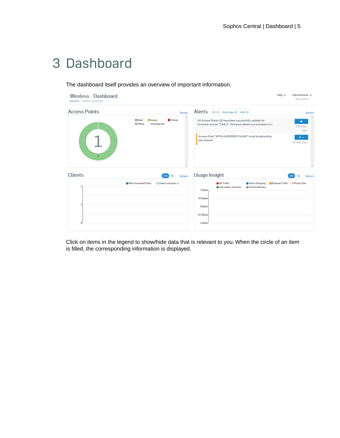### <span id="page-4-0"></span>3 Dashboard

The dashboard itself provides an overview of important information.

| Wireless - Dashboard<br>Overview / Windows Deshboard |                                                                                  |                                                                                                                                    | Help v<br>Administrator =<br>- Super Admin       |
|------------------------------------------------------|----------------------------------------------------------------------------------|------------------------------------------------------------------------------------------------------------------------------------|--------------------------------------------------|
| <b>Access Points</b>                                 | <b>Details</b>                                                                   | Alerts   All (2)   Warnings (1)   Info (1)                                                                                         | Details                                          |
|                                                      | <b>O</b> Good<br><b>O</b> Crisical<br><b>Olasses</b><br>@ Offine<br>Unconfigured | All Access Points (0) have been successfully updated to<br>firmware version "1.9.0-3". Firmware details are available here.        | ۰<br>219 days<br>ago                             |
| $\mathbf{1}$                                         |                                                                                  | Access Point "APSS-A4002DDEF741493" is not broadcasting<br>any network                                                             | メデ<br>21 days ago                                |
| <b>Clients</b>                                       | Details<br>24h 7d                                                                | Usage Insight                                                                                                                      | 7d<br>Details                                    |
| 2<br>Ù                                               | Max Connected Client @ Clients with poor si                                      | <b>OARTHHITE</b><br><b>O</b> Information Technolo<br>Content Delivery<br>1 Bytes<br>0.5 Bytes<br>O Bytes<br>-0.5 Bytes<br>-1 Bytes | @Online Shopping @External Traffic @Partal Sites |

Click on items in the legend to show/hide data that is relevant to you. When the circle of an item is filled, the corresponding information is displayed.